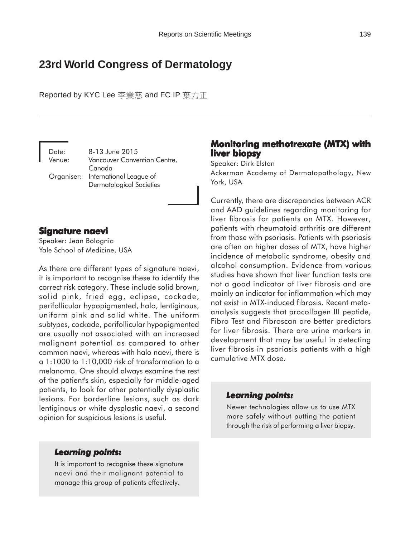# **23rd World Congress of Dermatology**

Reported by KYC Lee 李業慈 and FC IP 葉方正

Date: 8-13 June 2015 Venue: Vancouver Convention Centre, Canada Organiser: International League of Dermatological Societies

### **Signature naevi Signature**

Speaker: Jean Bolognia Yale School of Medicine, USA

As there are different types of signature naevi, it is important to recognise these to identify the correct risk category. These include solid brown, solid pink, fried egg, eclipse, cockade, perifollicular hypopigmented, halo, lentiginous, uniform pink and solid white. The uniform subtypes, cockade, perifollicular hypopigmented are usually not associated with an increased malignant potential as compared to other common naevi, whereas with halo naevi, there is a 1:1000 to 1:10,000 risk of transformation to a melanoma. One should always examine the rest of the patient's skin, especially for middle-aged patients, to look for other potentially dysplastic lesions. For borderline lesions, such as dark lentiginous or white dysplastic naevi, a second opinion for suspicious lesions is useful.

### **Monitoring methotrexate (MTX) with liver biopsy**

Speaker: Dirk Elston

Ackerman Academy of Dermatopathology, New York, USA

Currently, there are discrepancies between ACR and AAD guidelines regarding monitoring for liver fibrosis for patients on MTX. However, patients with rheumatoid arthritis are different from those with psoriasis. Patients with psoriasis are often on higher doses of MTX, have higher incidence of metabolic syndrome, obesity and alcohol consumption. Evidence from various studies have shown that liver function tests are not a good indicator of liver fibrosis and are mainly an indicator for inflammation which may not exist in MTX-induced fibrosis. Recent metaanalysis suggests that procollagen III peptide, Fibro Test and Fibroscan are better predictors for liver fibrosis. There are urine markers in development that may be useful in detecting liver fibrosis in psoriasis patients with a high cumulative MTX dose.

#### *Learning points: Learning points:*

Newer technologies allow us to use MTX more safely without putting the patient through the risk of performing a liver biopsy.

#### *Learning points: Learning*

It is important to recognise these signature naevi and their malignant potential to manage this group of patients effectively.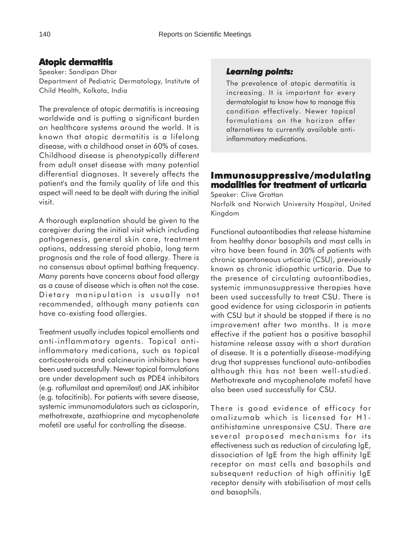## **Atopic dermatitis**

Speaker: Sandipan Dhar Department of Pediatric Dermatology, Institute of Child Health, Kolkata, India

The prevalence of atopic dermatitis is increasing worldwide and is putting a significant burden on healthcare systems around the world. It is known that atopic dermatitis is a lifelong disease, with a childhood onset in 60% of cases. Childhood disease is phenotypically different from adult onset disease with many potential differential diagnoses. It severely affects the patient's and the family quality of life and this aspect will need to be dealt with during the initial visit.

A thorough explanation should be given to the caregiver during the initial visit which including pathogenesis, general skin care, treatment options, addressing steroid phobia, long term prognosis and the role of food allergy. There is no consensus about optimal bathing frequency. Many parents have concerns about food allergy as a cause of disease which is often not the case. Dietary manipulation is usually not recommended, although many patients can have co-existing food allergies.

Treatment usually includes topical emollients and anti-inflammatory agents. Topical antiinflammatory medications, such as topical corticosteroids and calcineurin inhibitors have been used successfully. Newer topical formulations are under development such as PDE4 inhibitors (e.g. roflumilast and apremilast) and JAK inhibitor (e.g. tofacitinib). For patients with severe disease, systemic immunomodulators such as ciclosporin, methotrexate, azathioprine and mycophenolate mofetil are useful for controlling the disease.

### *Learning points: Learning points:*

The prevalence of atopic dermatitis is increasing. It is important for every dermatologist to know how to manage this condition effectively. Newer topical formulations on the horizon offer alternatives to currently available antiinflammatory medications.

### **Immunosuppressive/modulating modalities for treatment of urticaria**

Speaker: Clive Grattan

Norfolk and Norwich University Hospital, United Kingdom

Functional autoantibodies that release histamine from healthy donor basophils and mast cells in vitro have been found in 30% of patients with chronic spontaneous urticaria (CSU), previously known as chronic idiopathic urticaria. Due to the presence of circulating autoantibodies, systemic immunosuppressive therapies have been used successfully to treat CSU. There is good evidence for using ciclosporin in patients with CSU but it should be stopped if there is no improvement after two months. It is more effective if the patient has a positive basophil histamine release assay with a short duration of disease. It is a potentially disease-modifying drug that suppresses functional auto-antibodies although this has not been well-studied. Methotrexate and mycophenolate mofetil have also been used successfully for CSU.

There is good evidence of efficacy for omalizumab which is licensed for H1 antihistamine unresponsive CSU. There are several proposed mechanisms for its effectiveness such as reduction of circulating IgE, dissociation of IgE from the high affinity IgE receptor on mast cells and basophils and subsequent reduction of high affinitiy IgE receptor density with stabilisation of mast cells and basophils.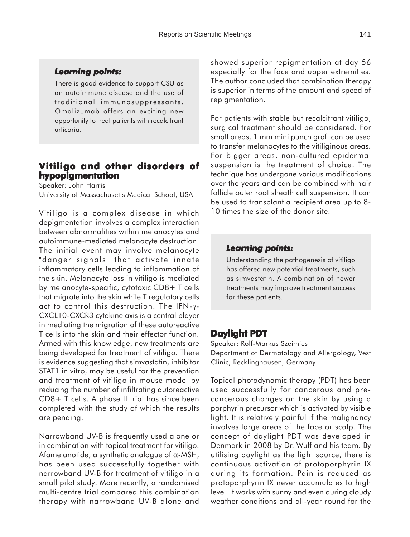#### *Learning points: Learning*

There is good evidence to support CSU as an autoimmune disease and the use of traditional immunosuppressants. Omalizumab offers an exciting new opportunity to treat patients with recalcitrant urticaria.

### **Vitiligo and other disorders of Vitiligo and disorders of hypopigmentation**

Speaker: John Harris University of Massachusetts Medical School, USA

Vitiligo is a complex disease in which depigmentation involves a complex interaction between abnormalities within melanocytes and autoimmune-mediated melanocyte destruction. The initial event may involve melanocyte "danger signals" that activate innate inflammatory cells leading to inflammation of the skin. Melanocyte loss in vitiligo is mediated by melanocyte-specific, cytotoxic CD8+ T cells that migrate into the skin while T regulatory cells act to control this destruction. The IFN-γ-CXCL10-CXCR3 cytokine axis is a central player in mediating the migration of these autoreactive T cells into the skin and their effector function. Armed with this knowledge, new treatments are being developed for treatment of vitiligo. There is evidence suggesting that simvastatin, inhibitor STAT1 in vitro, may be useful for the prevention and treatment of vitiligo in mouse model by reducing the number of infiltrating autoreactive CD8+ T cells. A phase II trial has since been completed with the study of which the results are pending.

Narrowband UV-B is frequently used alone or in combination with topical treatment for vitiligo. Afamelanotide, a synthetic analogue of α-MSH, has been used successfully together with narrowband UV-B for treatment of vitiligo in a small pilot study. More recently, a randomised multi-centre trial compared this combination therapy with narrowband UV-B alone and

showed superior repigmentation at day 56 especially for the face and upper extremities. The author concluded that combination therapy is superior in terms of the amount and speed of repigmentation.

For patients with stable but recalcitrant vitiligo, surgical treatment should be considered. For small areas, 1 mm mini punch graft can be used to transfer melanocytes to the vitiliginous areas. For bigger areas, non-cultured epidermal suspension is the treatment of choice. The technique has undergone various modifications over the years and can be combined with hair follicle outer root sheath cell suspension. It can be used to transplant a recipient area up to 8- 10 times the size of the donor site.

#### *Learning points: Learning points:*

Understanding the pathogenesis of vitiligo has offered new potential treatments, such as simvastatin. A combination of newer treatments may improve treatment success for these patients.

### **Daylight PDT**

Speaker: Rolf-Markus Szeimies Department of Dermatology and Allergology, Vest Clinic, Recklinghausen, Germany

Topical photodynamic therapy (PDT) has been used successfully for cancerous and precancerous changes on the skin by using a porphyrin precursor which is activated by visible light. It is relatively painful if the malignancy involves large areas of the face or scalp. The concept of daylight PDT was developed in Denmark in 2008 by Dr. Wulf and his team. By utilising daylight as the light source, there is continuous activation of protoporphyrin IX during its formation. Pain is reduced as protoporphyrin IX never accumulates to high level. It works with sunny and even during cloudy weather conditions and all-year round for the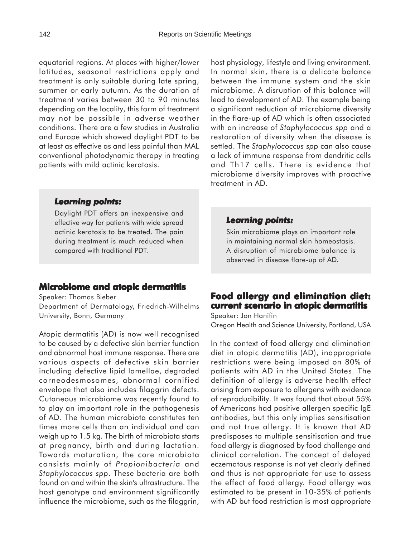equatorial regions. At places with higher/lower latitudes, seasonal restrictions apply and treatment is only suitable during late spring, summer or early autumn. As the duration of treatment varies between 30 to 90 minutes depending on the locality, this form of treatment may not be possible in adverse weather conditions. There are a few studies in Australia and Europe which showed daylight PDT to be at least as effective as and less painful than MAL conventional photodynamic therapy in treating patients with mild actinic keratosis.

host physiology, lifestyle and living environment. In normal skin, there is a delicate balance between the immune system and the skin microbiome. A disruption of this balance will lead to development of AD. The example being a significant reduction of microbiome diversity in the flare-up of AD which is often associated with an increase of *Staphylococcus spp* and a restoration of diversity when the disease is settled. The *Staphylococcus spp* can also cause a lack of immune response from dendritic cells and Th17 cells. There is evidence that microbiome diversity improves with proactive treatment in AD.

### *Learning points: Learning*

Daylight PDT offers an inexpensive and effective way for patients with wide spread actinic keratosis to be treated. The pain during treatment is much reduced when compared with traditional PDT.

### **Microbiome and atopic dermatitis**

Speaker: Thomas Bieber

Department of Dermatology, Friedrich-Wilhelms University, Bonn, Germany

Atopic dermatitis (AD) is now well recognised to be caused by a defective skin barrier function and abnormal host immune response. There are various aspects of defective skin barrier including defective lipid lamellae, degraded corneodesmosomes, abnormal cornified envelope that also includes filaggrin defects. Cutaneous microbiome was recently found to to play an important role in the pathogenesis of AD. The human microbiota constitutes ten times more cells than an individual and can weigh up to 1.5 kg. The birth of microbiota starts at pregnancy, birth and during lactation. Towards maturation, the core microbiota consists mainly of *Propion*i*bacteria* and *Staphylococcus spp*. These bacteria are both found on and within the skin's ultrastructure. The host genotype and environment significantly influence the microbiome, such as the filaggrin,

#### *Learning points: Learning points:*

Skin microbiome plays an important role in maintaining normal skin homeostasis. A disruption of microbiome balance is observed in disease flare-up of AD.

## **Food allergy and elimination diet: allergy elimination diet: current scenario in atopic dermatitis**

Speaker: Jon Hanifin Oregon Health and Science University, Portland, USA

In the context of food allergy and elimination diet in atopic dermatitis (AD), inappropriate restrictions were being imposed on 80% of patients with AD in the United States. The definition of allergy is adverse health effect arising from exposure to allergens with evidence of reproducibility. It was found that about 55% of Americans had positive allergen specific IgE antibodies, but this only implies sensitisation and not true allergy. It is known that AD predisposes to multiple sensitisation and true food allergy is diagnosed by food challenge and clinical correlation. The concept of delayed eczematous response is not yet clearly defined and thus is not appropriate for use to assess the effect of food allergy. Food allergy was estimated to be present in 10-35% of patients with AD but food restriction is most appropriate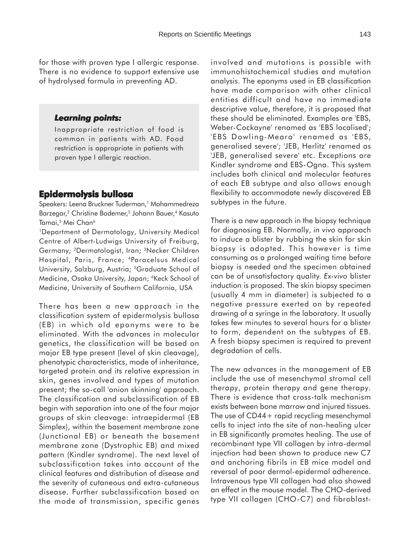#### *Learning points: Learning*

Inappropriate restriction of food is common in patients with AD. Food restriction is appropriate in patients with proven type I allergic reaction.

### **Epidermolysis bullosa**

Speakers: Leena Bruckner Tuderman,<sup>1</sup> Mohammedreza Barzegar,<sup>2</sup> Christine Bodemer,<sup>3</sup> Johann Bauer,<sup>4</sup> Kasuto Tamai,<sup>5</sup> Mei Chan<sup>6</sup>

1Department of Dermatology, University Medical Centre of Albert-Ludwigs University of Freiburg, Germany; 2Dermatologist, Iran; 3Necker Children Hospital, Paris, France; 4Paracelsus Medical University, Salzburg, Austria; 5Graduate School of Medicine, Osaka University, Japan; <sup>6</sup>Keck School of Medicine, University of Southern California, USA

There has been a new approach in the classification system of epidermolysis bullosa (EB) in which old eponyms were to be eliminated. With the advances in molecular genetics, the classification will be based on major EB type present (level of skin cleavage), phenotypic characteristics, mode of inheritance, targeted protein and its relative expression in skin, genes involved and types of mutation present; the so-call 'onion skinning' approach. The classification and subclassification of EB begin with separation into one of the four major groups of skin cleavage: intraepidermal (EB Simplex), within the basement membrane zone (Junctional EB) or beneath the basement membrane zone (Dystrophic EB) and mixed pattern (Kindler syndrome). The next level of subclassification takes into account of the clinical features and distribution of disease and the severity of cutaneous and extra-cutaneous disease. Further subclassification based on the mode of transmission, specific genes

involved and mutations is possible with immunohistochemical studies and mutation analysis. The eponyms used in EB classification have made comparison with other clinical entities difficult and have no immediate descriptive value, therefore, it is proposed that these should be eliminated. Examples are 'EBS, Weber-Cockayne' renamed as 'EBS localised'; 'EBS Dowling-Meara' renamed as 'EBS, generalised severe'; 'JEB, Herlitz' renamed as 'JEB, generalised severe' etc. Exceptions are Kindler syndrome and EBS-Ogna. This system includes both clinical and molecular features of each EB subtype and also allows enough flexibility to accommodate newly discovered EB subtypes in the future.

There is a new approach in the biopsy technique for diagnosing EB. Normally, *in vivo* approach to induce a blister by rubbing the skin for skin biopsy is adopted. This however is time consuming as a prolonged waiting time before biopsy is needed and the specimen obtained can be of unsatisfactory quality. *Ex-vivo* blister induction is proposed. The skin biopsy specimen (usually 4 mm in diameter) is subjected to a negative pressure exerted on by repeated drawing of a syringe in the laboratory. It usually takes few minutes to several hours for a blister to form, dependent on the subtypes of EB. A fresh biopsy specimen is required to prevent degradation of cells.

The new advances in the management of EB include the use of mesenchymal stromal cell therapy, protein therapy and gene therapy. There is evidence that cross-talk mechanism exists between bone marrow and injured tissues. The use of CD44+ rapid recycling mesenchymal cells to inject into the site of non-healing ulcer in EB significantly promotes healing. The use of recombinant type VII collagen by intra-dermal injection had been shown to produce new C7 and anchoring fibrils in EB mice model and reversal of poor dermal-epidermal adherence. Intravenous type VII collagen had also showed an effect in the mouse model. The CHO-derived type VII collagen (CHO-C7) and fibroblast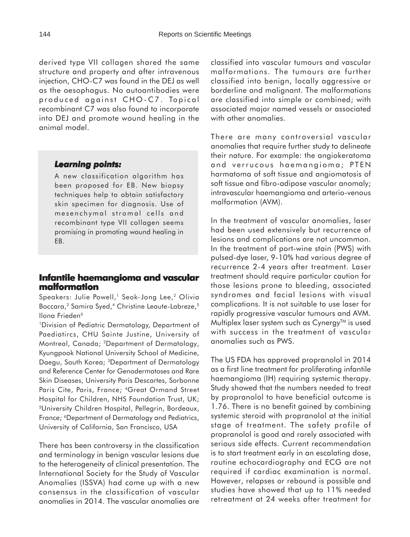derived type VII collagen shared the same structure and property and after intravenous injection, CHO-C7 was found in the DEJ as well as the oesophagus. No autoantibodies were produced against CHO-C7. Topical recombinant C7 was also found to incorporate into DEJ and promote wound healing in the animal model.

### *Learning points: Learning*

A new classification algorithm has been proposed for EB. New biopsy techniques help to obtain satisfactory skin specimen for diagnosis. Use of mesenchymal stromal cells and recombinant type VII collagen seems promising in promoting wound healing in EB.

### **Infantile haemangioma and vascular malformation**

Speakers: Julie Powell,<sup>1</sup> Seok-Jong Lee,<sup>2</sup> Olivia Boccara,<sup>3</sup> Samira Syed,<sup>4</sup> Christine Leaute-Labreze,<sup>5</sup> Ilona Frieden<sup>6</sup>

1Division of Pediatric Dermatology, Department of Paediatircs, CHU Sainte Justine, University of Montreal, Canada; 2Department of Dermatology, Kyungpook National University School of Medicine, Daegu, South Korea; 3Department of Dermatology and Reference Center for Genodermatoses and Rare Skin Diseases, University Paris Descartes, Sorbonne Paris Cite, Paris, France; 4Great Ormand Street Hospital for Children, NHS Foundation Trust, UK; 5University Children Hospital, Pellegrin, Bordeaux, France; 6Department of Dermatology and Pediatrics, University of California, San Francisco, USA

There has been controversy in the classification and terminology in benign vascular lesions due to the heterogeneity of clinical presentation. The International Society for the Study of Vascular Anomalies (ISSVA) had come up with a new consensus in the classification of vascular anomalies in 2014. The vascular anomalies are classified into vascular tumours and vascular malformations. The tumours are further classified into benign, locally aggressive or borderline and malignant. The malformations are classified into simple or combined; with associated major named vessels or associated with other anomalies.

There are many controversial vascular anomalies that require further study to delineate their nature. For example: the angiokeratoma and verrucous haemangioma; PTEN harmatoma of soft tissue and angiomatosis of soft tissue and fibro-adipose vascular anomaly; intravascular haemangioma and arterio-venous malformation (AVM).

In the treatment of vascular anomalies, laser had been used extensively but recurrence of lesions and complications are not uncommon. In the treatment of port-wine stain (PWS) with pulsed-dye laser, 9-10% had various degree of recurrence 2-4 years after treatment. Laser treatment should require particular caution for those lesions prone to bleeding, associated syndromes and facial lesions with visual complications. It is not suitable to use laser for rapidly progressive vascular tumours and AVM. Multiplex laser system such as  $Cynery^{TM}$  is used with success in the treatment of vascular anomalies such as PWS.

The US FDA has approved propranolol in 2014 as a first line treatment for proliferating infantile haemangioma (IH) requiring systemic therapy. Study showed that the numbers needed to treat by propranolol to have beneficial outcome is 1.76. There is no benefit gained by combining systemic steroid with propranolol at the initial stage of treatment. The safety profile of propranolol is good and rarely associated with serious side effects. Current recommendation is to start treatment early in an escalating dose, routine echocardiography and ECG are not required if cardiac examination is normal. However, relapses or rebound is possible and studies have showed that up to 11% needed retreatment at 24 weeks after treatment for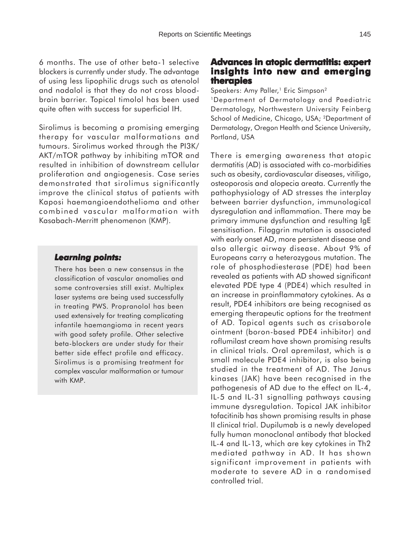6 months. The use of other beta-1 selective blockers is currently under study. The advantage of using less lipophilic drugs such as atenolol and nadalol is that they do not cross bloodbrain barrier. Topical timolol has been used quite often with success for superficial IH.

Sirolimus is becoming a promising emerging therapy for vascular malformations and tumours. Sirolimus worked through the PI3K/ AKT/mTOR pathway by inhibiting mTOR and resulted in inhibition of downstream cellular proliferation and angiogenesis. Case series demonstrated that sirolimus significantly improve the clinical status of patients with Kaposi haemangioendothelioma and other combined vascular malformation with Kasabach-Merritt phenomenon (KMP).

### *Learning points: Learning*

There has been a new consensus in the classification of vascular anomalies and some controversies still exist. Multiplex laser systems are being used successfully in treating PWS. Propranolol has been used extensively for treating complicating infantile haemangioma in recent years with good safety profile. Other selective beta-blockers are under study for their better side effect profile and efficacy. Sirolimus is a promising treatment for complex vascular malformation or tumour with KMP.

### **Advances in atopic dermatitis: expert insights into new and emerging therapies**

Speakers: Amy Paller,<sup>1</sup> Eric Simpson<sup>2</sup>

1Department of Dermatology and Paediatric Dermatology, Northwestern University Feinberg School of Medicine, Chicago, USA; 2Department of Dermatology, Oregon Health and Science University, Portland, USA

There is emerging awareness that atopic dermatitis (AD) is associated with co-morbidities such as obesity, cardiovascular diseases, vitiligo, osteoporosis and alopecia areata. Currently the pathophysiology of AD stresses the interplay between barrier dysfunction, immunological dysregulation and inflammation. There may be primary immune dysfunction and resulting IgE sensitisation. Filaggrin mutation is associated with early onset AD, more persistent disease and also allergic airway disease. About 9% of Europeans carry a heterozygous mutation. The role of phosphodiesterase (PDE) had been revealed as patients with AD showed significant elevated PDE type 4 (PDE4) which resulted in an increase in proinflammatory cytokines. As a result, PDE4 inhibitors are being recognised as emerging therapeutic options for the treatment of AD. Topical agents such as crisaborole ointment (boron-based PDE4 inhibitor) and roflumilast cream have shown promising results in clinical trials. Oral apremilast, which is a small molecule PDE4 inhibitor, is also being studied in the treatment of AD. The Janus kinases (JAK) have been recognised in the pathogenesis of AD due to the effect on IL-4, IL-5 and IL-31 signalling pathways causing immune dysregulation. Topical JAK inhibitor tofacitinib has shown promising results in phase II clinical trial. Dupilumab is a newly developed fully human monoclonal antibody that blocked IL-4 and IL-13, which are key cytokines in Th2 mediated pathway in AD. It has shown significant improvement in patients with moderate to severe AD in a randomised controlled trial.